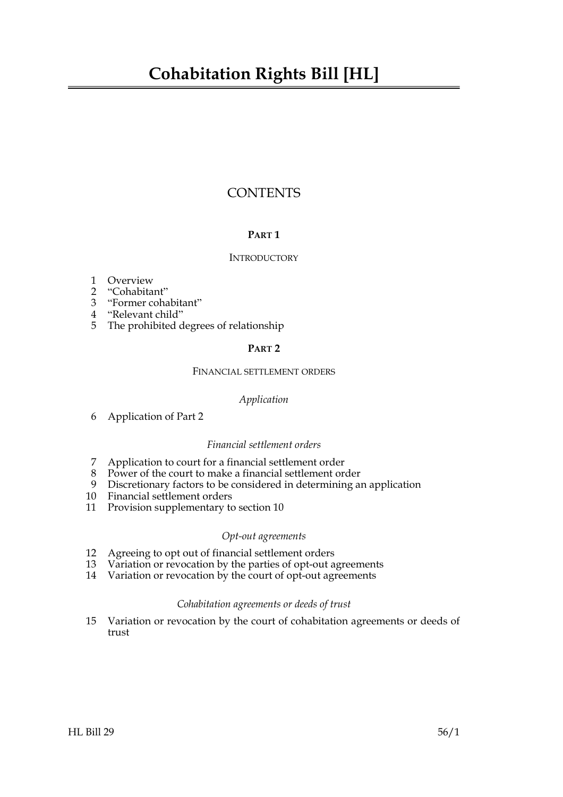## **Cohabitation Rights Bill [HL]**

### **CONTENTS**

#### **PART 1**

#### **INTRODUCTORY**

- 1 Overview
- 2 "Cohabitant"
- 3 "Former cohabitant"
- 4 "Relevant child"
- 5 The prohibited degrees of relationship

#### **PART 2**

#### FINANCIAL SETTLEMENT ORDERS

#### *Application*

6 Application of Part 2

#### *Financial settlement orders*

- 7 Application to court for a financial settlement order
- 8 Power of the court to make a financial settlement order
- 9 Discretionary factors to be considered in determining an application
- 10 Financial settlement orders
- 11 Provision supplementary to section 10

#### *Opt-out agreements*

- 12 Agreeing to opt out of financial settlement orders<br>13 Variation or revocation by the parties of opt-out a
- Variation or revocation by the parties of opt-out agreements
- 14 Variation or revocation by the court of opt-out agreements

#### *Cohabitation agreements or deeds of trust*

15 Variation or revocation by the court of cohabitation agreements or deeds of trust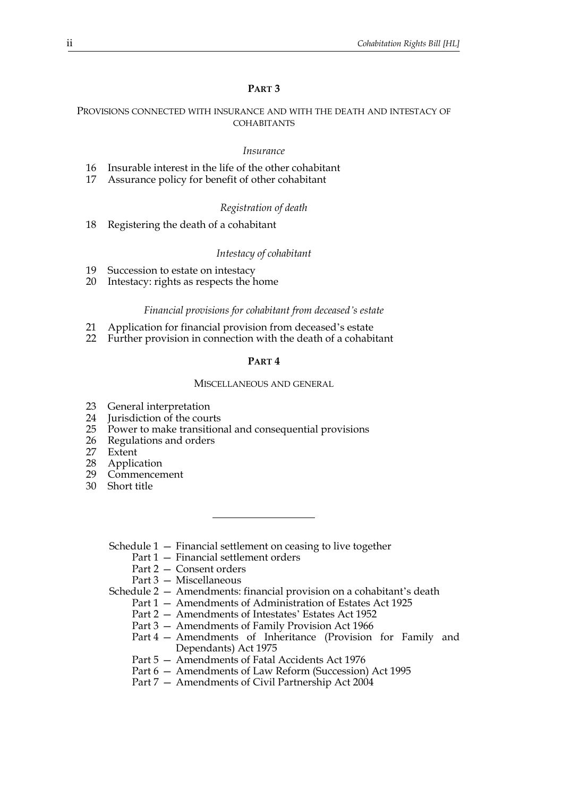#### **PART 3**

#### PROVISIONS CONNECTED WITH INSURANCE AND WITH THE DEATH AND INTESTACY OF COHABITANTS

#### *Insurance*

- 16 Insurable interest in the life of the other cohabitant
- 17 Assurance policy for benefit of other cohabitant

#### *Registration of death*

18 Registering the death of a cohabitant

#### *Intestacy of cohabitant*

- 19 Succession to estate on intestacy
- 20 Intestacy: rights as respects the home

#### *Financial provisions for cohabitant from deceased's estate*

- 21 Application for financial provision from deceased's estate
- 22 Further provision in connection with the death of a cohabitant

#### **PART 4**

#### MISCELLANEOUS AND GENERAL

- 23 General interpretation
- 24 Jurisdiction of the courts<br>25 Power to make transition
- 25 Power to make transitional and consequential provisions
- 26 Regulations and orders<br>27 Extent
- 27 Extent<br>28 Applic
- 28 Application<br>29 Commencer
- Commencement
- 30 Short title
	- Schedule 1 Financial settlement on ceasing to live together
		- Part 1 Financial settlement orders
		- Part 2 Consent orders

Part 3 — Miscellaneous

Schedule 2 — Amendments: financial provision on a cohabitant's death

- Part 1 Amendments of Administration of Estates Act 1925
- Part 2 Amendments of Intestates' Estates Act 1952
- Part 3 Amendments of Family Provision Act 1966
- Part 4 Amendments of Inheritance (Provision for Family and Dependants) Act 1975
- Part 5 Amendments of Fatal Accidents Act 1976
- Part 6 Amendments of Law Reform (Succession) Act 1995
- Part 7 Amendments of Civil Partnership Act 2004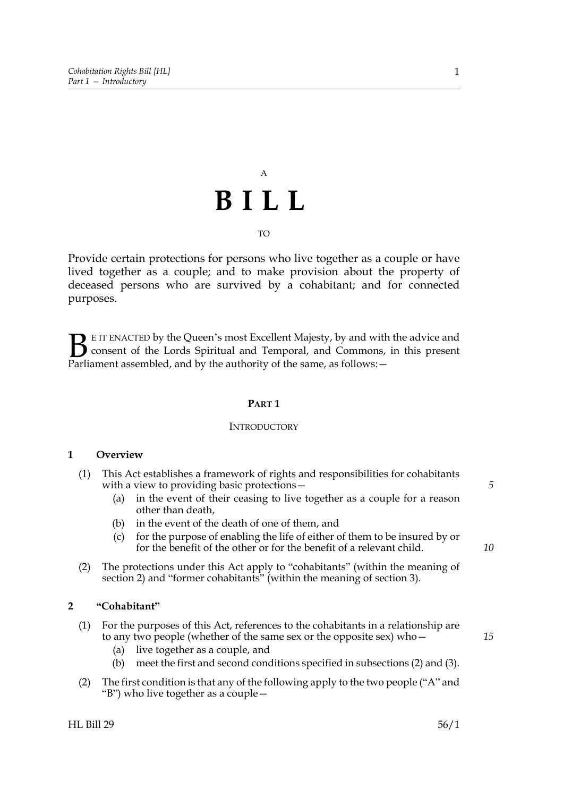# A **BILL**

### TO

Provide certain protections for persons who live together as a couple or have lived together as a couple; and to make provision about the property of deceased persons who are survived by a cohabitant; and for connected purposes.

E IT ENACTED by the Queen's most Excellent Majesty, by and with the advice and consent of the Lords Spiritual and Temporal, and Commons, in this present **B** E IT ENACTED by the Queen's most Excellent Majesty, by and with consent of the Lords Spiritual and Temporal, and Commons, Parliament assembled, and by the authority of the same, as follows:  $-$ 

#### **PART 1**

#### **INTRODUCTORY**

#### **1 Overview**

- (1) This Act establishes a framework of rights and responsibilities for cohabitants with a view to providing basic protections—
	- (a) in the event of their ceasing to live together as a couple for a reason other than death,
	- (b) in the event of the death of one of them, and
	- (c) for the purpose of enabling the life of either of them to be insured by or for the benefit of the other or for the benefit of a relevant child.
- (2) The protections under this Act apply to "cohabitants" (within the meaning of section 2) and "former cohabitants" (within the meaning of section 3).

#### **2 "Cohabitant"**

- (1) For the purposes of this Act, references to the cohabitants in a relationship are to any two people (whether of the same sex or the opposite sex) who—
	- (a) live together as a couple, and
	- (b) meet the first and second conditions specified in subsections (2) and (3).
- (2) The first condition is that any of the following apply to the two people ("A" and "B") who live together as a couple—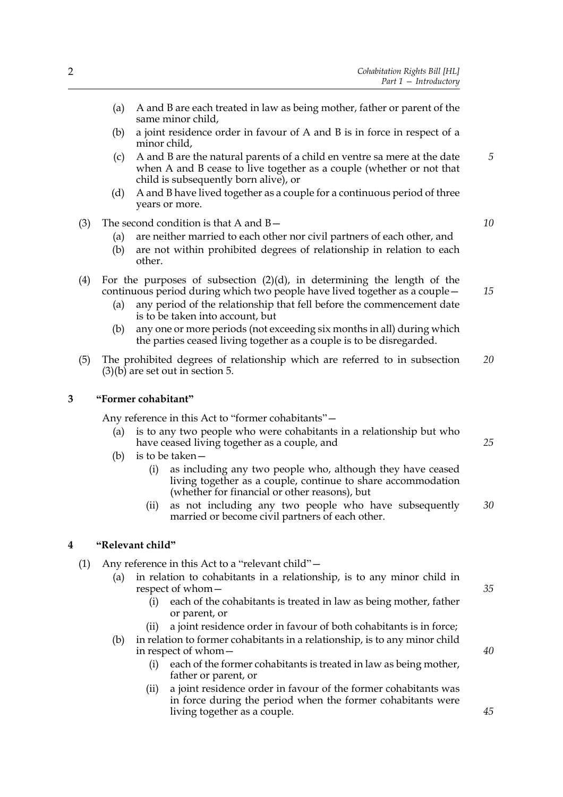- (b) a joint residence order in favour of A and B is in force in respect of a minor child,
- (c) A and B are the natural parents of a child en ventre sa mere at the date when A and B cease to live together as a couple (whether or not that child is subsequently born alive), or
- (d) A and B have lived together as a couple for a continuous period of three years or more.
- (3) The second condition is that A and  $B-$ 
	- (a) are neither married to each other nor civil partners of each other, and
	- (b) are not within prohibited degrees of relationship in relation to each other.
- (4) For the purposes of subsection (2)(d), in determining the length of the continuous period during which two people have lived together as a couple—
	- (a) any period of the relationship that fell before the commencement date is to be taken into account, but
	- (b) any one or more periods (not exceeding six months in all) during which the parties ceased living together as a couple is to be disregarded.
- (5) The prohibited degrees of relationship which are referred to in subsection  $(3)(b)$  are set out in section 5. *20*

#### **3 "Former cohabitant"**

Any reference in this Act to "former cohabitants"—

- (a) is to any two people who were cohabitants in a relationship but who have ceased living together as a couple, and
- (b) is to be taken—
	- (i) as including any two people who, although they have ceased living together as a couple, continue to share accommodation (whether for financial or other reasons), but
	- (ii) as not including any two people who have subsequently married or become civil partners of each other. *30*

#### **4 "Relevant child"**

- (1) Any reference in this Act to a "relevant child"—
	- (a) in relation to cohabitants in a relationship, is to any minor child in respect of whom—
		- (i) each of the cohabitants is treated in law as being mother, father or parent, or
		- a joint residence order in favour of both cohabitants is in force;
	- (b) in relation to former cohabitants in a relationship, is to any minor child in respect of whom—
		- (i) each of the former cohabitants is treated in law as being mother, father or parent, or
		- (ii) a joint residence order in favour of the former cohabitants was in force during the period when the former cohabitants were living together as a couple.

*10*

*5*

*15*

*35*

*40*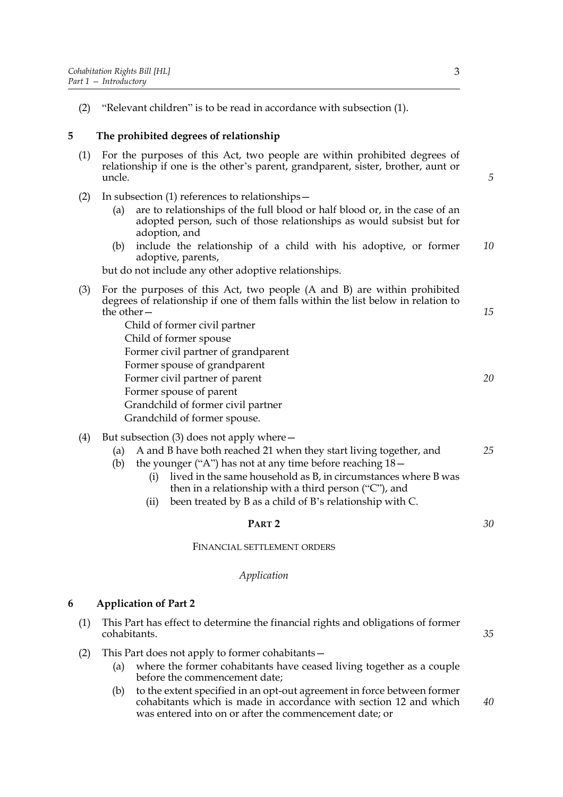(2) "Relevant children" is to be read in accordance with subsection (1).

#### **5 The prohibited degrees of relationship**

- (1) For the purposes of this Act, two people are within prohibited degrees of relationship if one is the other's parent, grandparent, sister, brother, aunt or uncle.
- (2) In subsection (1) references to relationships—
	- (a) are to relationships of the full blood or half blood or, in the case of an adopted person, such of those relationships as would subsist but for adoption, and
	- (b) include the relationship of a child with his adoptive, or former adoptive, parents, *10*

but do not include any other adoptive relationships.

- (3) For the purposes of this Act, two people (A and B) are within prohibited degrees of relationship if one of them falls within the list below in relation to the other— Child of former civil partner *15*
	- Child of former spouse Former civil partner of grandparent Former spouse of grandparent Former civil partner of parent Former spouse of parent Grandchild of former civil partner Grandchild of former spouse.
- (4) But subsection (3) does not apply where—
	- (a) A and B have both reached 21 when they start living together, and *25*
	- (b) the younger ("A") has not at any time before reaching 18—
		- (i) lived in the same household as B, in circumstances where B was then in a relationship with a third person ("C"), and
		- (ii) been treated by B as a child of B's relationship with C.

#### **PART 2**

FINANCIAL SETTLEMENT ORDERS

#### *Application*

#### **6 Application of Part 2**

- (1) This Part has effect to determine the financial rights and obligations of former cohabitants. *35*
- (2) This Part does not apply to former cohabitants—
	- (a) where the former cohabitants have ceased living together as a couple before the commencement date;
	- (b) to the extent specified in an opt-out agreement in force between former cohabitants which is made in accordance with section 12 and which was entered into on or after the commencement date; or *40*

*5*

*20*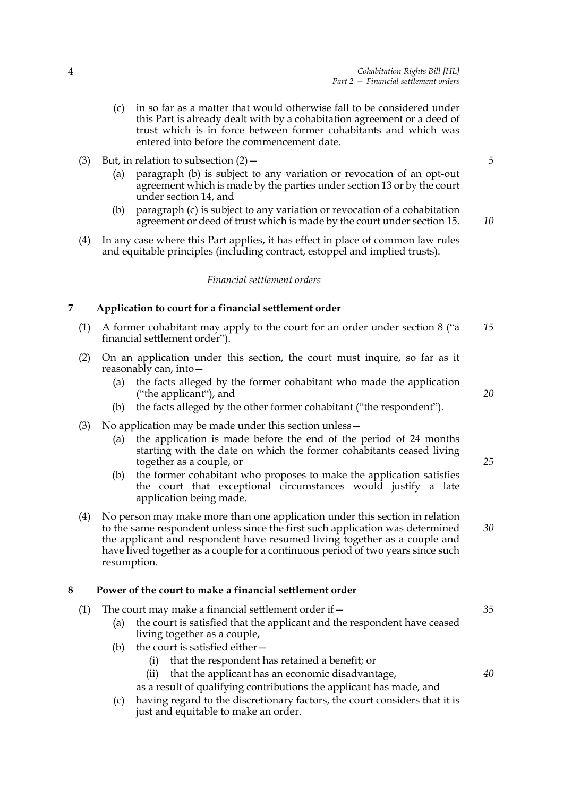- (c) in so far as a matter that would otherwise fall to be considered under this Part is already dealt with by a cohabitation agreement or a deed of trust which is in force between former cohabitants and which was entered into before the commencement date.
- *5*
- (a) paragraph (b) is subject to any variation or revocation of an opt-out agreement which is made by the parties under section 13 or by the court under section 14, and
- (b) paragraph (c) is subject to any variation or revocation of a cohabitation agreement or deed of trust which is made by the court under section 15. *10*
- (4) In any case where this Part applies, it has effect in place of common law rules and equitable principles (including contract, estoppel and implied trusts).

#### *Financial settlement orders*

#### **7 Application to court for a financial settlement order**

(3) But, in relation to subsection  $(2)$  –

- (1) A former cohabitant may apply to the court for an order under section 8 ("a financial settlement order"). *15*
- (2) On an application under this section, the court must inquire, so far as it reasonably can, into—
	- (a) the facts alleged by the former cohabitant who made the application ("the applicant"), and
	- (b) the facts alleged by the other former cohabitant ("the respondent").
- (3) No application may be made under this section unless—
	- (a) the application is made before the end of the period of 24 months starting with the date on which the former cohabitants ceased living together as a couple, or
	- (b) the former cohabitant who proposes to make the application satisfies the court that exceptional circumstances would justify a late application being made.
- (4) No person may make more than one application under this section in relation to the same respondent unless since the first such application was determined the applicant and respondent have resumed living together as a couple and have lived together as a couple for a continuous period of two years since such resumption.

#### **8 Power of the court to make a financial settlement order**

- (1) The court may make a financial settlement order if  $-$ (a) the court is satisfied that the applicant and the respondent have ceased living together as a couple, (b) the court is satisfied either— (i) that the respondent has retained a benefit; or (ii) that the applicant has an economic disadvantage, as a result of qualifying contributions the applicant has made, and *40*
	- (c) having regard to the discretionary factors, the court considers that it is just and equitable to make an order.

*20*

*25*

*30*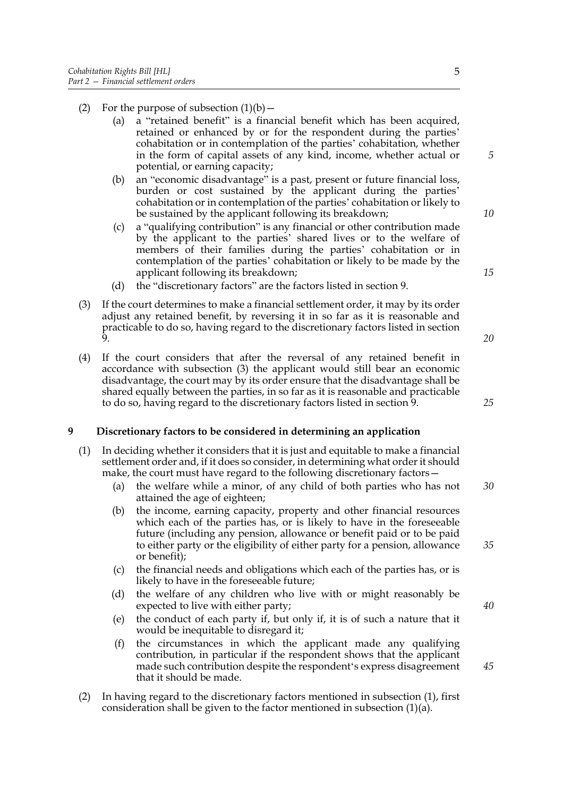- (2) For the purpose of subsection  $(1)(b)$ 
	- (a) a "retained benefit" is a financial benefit which has been acquired, retained or enhanced by or for the respondent during the parties' cohabitation or in contemplation of the parties' cohabitation, whether in the form of capital assets of any kind, income, whether actual or potential, or earning capacity;
	- (b) an "economic disadvantage" is a past, present or future financial loss, burden or cost sustained by the applicant during the parties' cohabitation or in contemplation of the parties' cohabitation or likely to be sustained by the applicant following its breakdown;
	- (c) a "qualifying contribution" is any financial or other contribution made by the applicant to the parties' shared lives or to the welfare of members of their families during the parties' cohabitation or in contemplation of the parties' cohabitation or likely to be made by the applicant following its breakdown;
	- (d) the "discretionary factors" are the factors listed in section 9.
- (3) If the court determines to make a financial settlement order, it may by its order adjust any retained benefit, by reversing it in so far as it is reasonable and practicable to do so, having regard to the discretionary factors listed in section  $\mathbf{\hat{Q}}$
- (4) If the court considers that after the reversal of any retained benefit in accordance with subsection (3) the applicant would still bear an economic disadvantage, the court may by its order ensure that the disadvantage shall be shared equally between the parties, in so far as it is reasonable and practicable to do so, having regard to the discretionary factors listed in section 9.

#### **9 Discretionary factors to be considered in determining an application**

- (1) In deciding whether it considers that it is just and equitable to make a financial settlement order and, if it does so consider, in determining what order it should make, the court must have regard to the following discretionary factors—
	- (a) the welfare while a minor, of any child of both parties who has not attained the age of eighteen; *30*
	- (b) the income, earning capacity, property and other financial resources which each of the parties has, or is likely to have in the foreseeable future (including any pension, allowance or benefit paid or to be paid to either party or the eligibility of either party for a pension, allowance or benefit);
	- (c) the financial needs and obligations which each of the parties has, or is likely to have in the foreseeable future;
	- (d) the welfare of any children who live with or might reasonably be expected to live with either party;
	- (e) the conduct of each party if, but only if, it is of such a nature that it would be inequitable to disregard it;
	- (f) the circumstances in which the applicant made any qualifying contribution, in particular if the respondent shows that the applicant made such contribution despite the respondent's express disagreement that it should be made.
- (2) In having regard to the discretionary factors mentioned in subsection (1), first consideration shall be given to the factor mentioned in subsection (1)(a).

*5*

*10*

*20*

*15*

*25*

*40*

*35*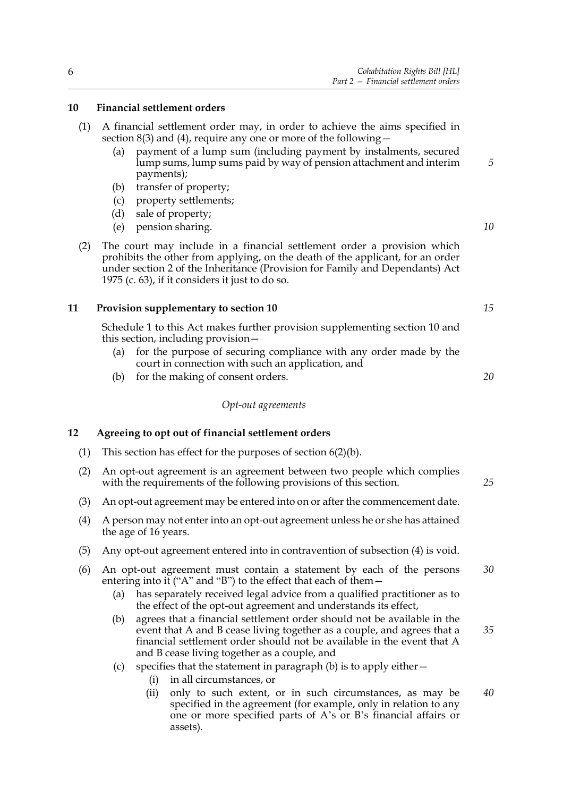#### **10 Financial settlement orders**

- (1) A financial settlement order may, in order to achieve the aims specified in section 8(3) and (4), require any one or more of the following  $-$ 
	- (a) payment of a lump sum (including payment by instalments, secured lump sums, lump sums paid by way of pension attachment and interim payments);
	- (b) transfer of property;
	- (c) property settlements;
	- (d) sale of property;
	- (e) pension sharing.
- (2) The court may include in a financial settlement order a provision which prohibits the other from applying, on the death of the applicant, for an order under section 2 of the Inheritance (Provision for Family and Dependants) Act 1975 (c. 63), if it considers it just to do so.

#### **11 Provision supplementary to section 10**

Schedule 1 to this Act makes further provision supplementing section 10 and this section, including provision—

- (a) for the purpose of securing compliance with any order made by the court in connection with such an application, and
- (b) for the making of consent orders.

#### *Opt-out agreements*

#### **12 Agreeing to opt out of financial settlement orders**

- (1) This section has effect for the purposes of section 6(2)(b).
- (2) An opt-out agreement is an agreement between two people which complies with the requirements of the following provisions of this section.
- (3) An opt-out agreement may be entered into on or after the commencement date.
- (4) A person may not enter into an opt-out agreement unless he or she has attained the age of 16 years.
- (5) Any opt-out agreement entered into in contravention of subsection (4) is void.
- (6) An opt-out agreement must contain a statement by each of the persons entering into it ("A" and "B") to the effect that each of them -*30*
	- (a) has separately received legal advice from a qualified practitioner as to the effect of the opt-out agreement and understands its effect,
	- (b) agrees that a financial settlement order should not be available in the event that A and B cease living together as a couple, and agrees that a financial settlement order should not be available in the event that A and B cease living together as a couple, and
	- (c) specifies that the statement in paragraph (b) is to apply either—
		- (i) in all circumstances, or
		- (ii) only to such extent, or in such circumstances, as may be specified in the agreement (for example, only in relation to any one or more specified parts of A's or B's financial affairs or assets). *40*

*10*

*5*

*20*

*15*

*25*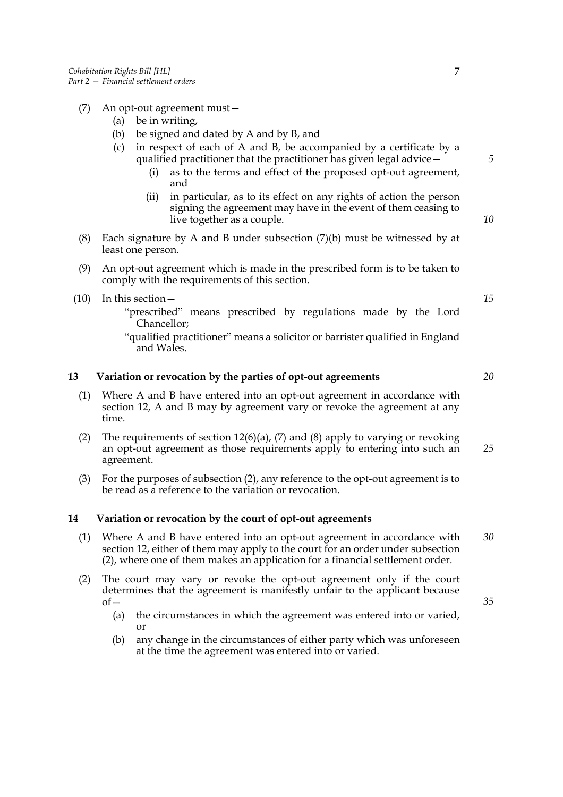- (7) An opt-out agreement must—
	- (a) be in writing,
	- (b) be signed and dated by A and by B, and
	- (c) in respect of each of A and B, be accompanied by a certificate by a qualified practitioner that the practitioner has given legal advice—
		- (i) as to the terms and effect of the proposed opt-out agreement, and
		- (ii) in particular, as to its effect on any rights of action the person signing the agreement may have in the event of them ceasing to live together as a couple.
- (8) Each signature by A and B under subsection  $(7)(b)$  must be witnessed by at least one person.
- (9) An opt-out agreement which is made in the prescribed form is to be taken to comply with the requirements of this section.
- (10) In this section—
	- "prescribed" means prescribed by regulations made by the Lord Chancellor;
	- "qualified practitioner" means a solicitor or barrister qualified in England and Wales.

#### **13 Variation or revocation by the parties of opt-out agreements**

- (1) Where A and B have entered into an opt-out agreement in accordance with section 12, A and B may by agreement vary or revoke the agreement at any time.
- (2) The requirements of section  $12(6)(a)$ , (7) and (8) apply to varying or revoking an opt-out agreement as those requirements apply to entering into such an agreement. *25*
- (3) For the purposes of subsection (2), any reference to the opt-out agreement is to be read as a reference to the variation or revocation.

#### **14 Variation or revocation by the court of opt-out agreements**

- (1) Where A and B have entered into an opt-out agreement in accordance with section 12, either of them may apply to the court for an order under subsection (2), where one of them makes an application for a financial settlement order. *30*
- (2) The court may vary or revoke the opt-out agreement only if the court determines that the agreement is manifestly unfair to the applicant because of—
	- (a) the circumstances in which the agreement was entered into or varied, or
	- (b) any change in the circumstances of either party which was unforeseen at the time the agreement was entered into or varied.

*10*

*5*

*15*

*20*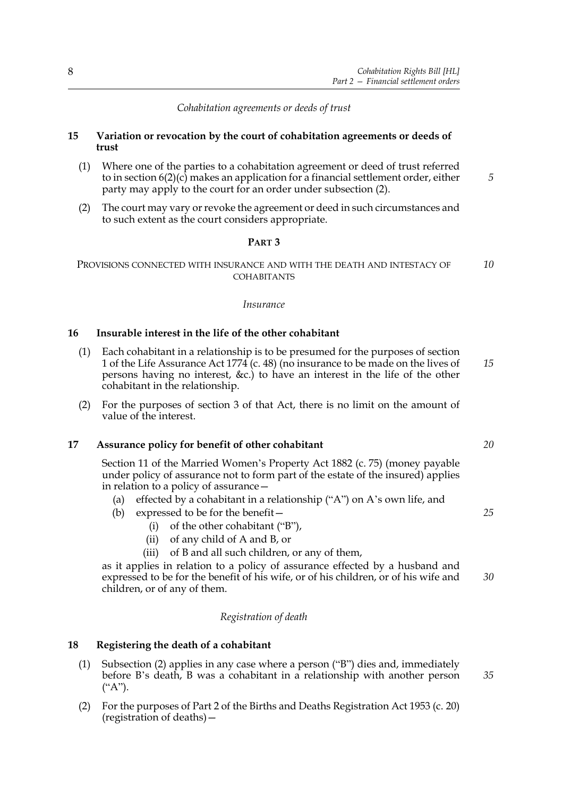#### *Cohabitation agreements or deeds of trust*

#### **15 Variation or revocation by the court of cohabitation agreements or deeds of trust**

- (1) Where one of the parties to a cohabitation agreement or deed of trust referred to in section 6(2)(c) makes an application for a financial settlement order, either party may apply to the court for an order under subsection (2).
- (2) The court may vary or revoke the agreement or deed in such circumstances and to such extent as the court considers appropriate.

#### **PART 3**

#### PROVISIONS CONNECTED WITH INSURANCE AND WITH THE DEATH AND INTESTACY OF **COHABITANTS** *10*

#### *Insurance*

#### **16 Insurable interest in the life of the other cohabitant**

- (1) Each cohabitant in a relationship is to be presumed for the purposes of section 1 of the Life Assurance Act 1774 (c. 48) (no insurance to be made on the lives of persons having no interest, &c.) to have an interest in the life of the other cohabitant in the relationship. *15*
- (2) For the purposes of section 3 of that Act, there is no limit on the amount of value of the interest.

#### **17 Assurance policy for benefit of other cohabitant**

Section 11 of the Married Women's Property Act 1882 (c. 75) (money payable under policy of assurance not to form part of the estate of the insured) applies in relation to a policy of assurance—

- (a) effected by a cohabitant in a relationship ("A") on A's own life, and
- (b) expressed to be for the benefit—
	- (i) of the other cohabitant ("B"),
	- (ii) of any child of A and B, or
	- (iii) of B and all such children, or any of them,

as it applies in relation to a policy of assurance effected by a husband and expressed to be for the benefit of his wife, or of his children, or of his wife and children, or of any of them.

#### *Registration of death*

#### **18 Registering the death of a cohabitant**

- (1) Subsection (2) applies in any case where a person ("B") dies and, immediately before B's death, B was a cohabitant in a relationship with another person  $($ "A").
- (2) For the purposes of Part 2 of the Births and Deaths Registration Act 1953 (c. 20) (registration of deaths)—

*20*

*5*

*25*

*30*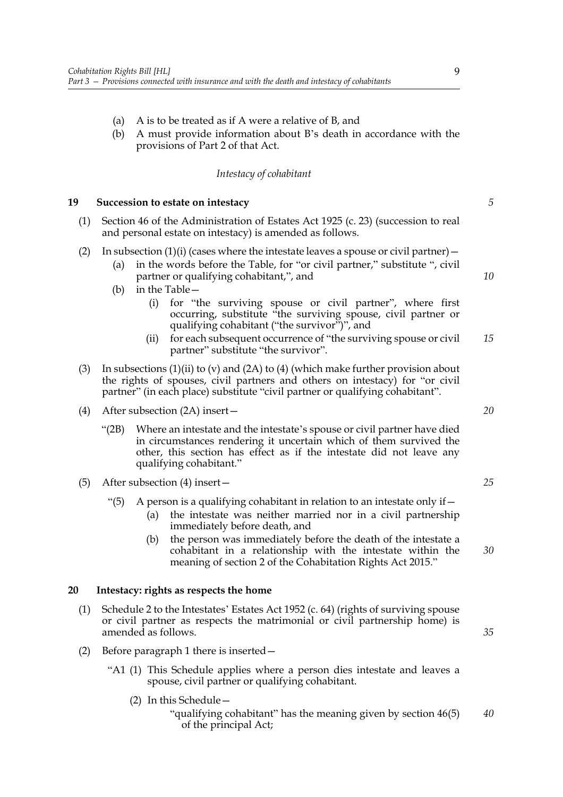- (a) A is to be treated as if A were a relative of B, and
- (b) A must provide information about B's death in accordance with the provisions of Part 2 of that Act.

#### *Intestacy of cohabitant*

#### **19 Succession to estate on intestacy**

(1) Section 46 of the Administration of Estates Act 1925 (c. 23) (succession to real and personal estate on intestacy) is amended as follows.

#### (2) In subsection (1)(i) (cases where the intestate leaves a spouse or civil partner) –

- (a) in the words before the Table, for "or civil partner," substitute ", civil partner or qualifying cohabitant,", and
- (b) in the Table—
	- (i) for "the surviving spouse or civil partner", where first occurring, substitute "the surviving spouse, civil partner or qualifying cohabitant ("the survivor")", and
	- (ii) for each subsequent occurrence of "the surviving spouse or civil partner" substitute "the survivor". *15*
- (3) In subsections  $(1)(ii)$  to (v) and  $(2A)$  to  $(4)$  (which make further provision about the rights of spouses, civil partners and others on intestacy) for "or civil partner" (in each place) substitute "civil partner or qualifying cohabitant".
- (4) After subsection (2A) insert—
	- "(2B) Where an intestate and the intestate's spouse or civil partner have died in circumstances rendering it uncertain which of them survived the other, this section has effect as if the intestate did not leave any qualifying cohabitant."
- (5) After subsection (4) insert—
	- "(5) A person is a qualifying cohabitant in relation to an intestate only if  $-$ 
		- (a) the intestate was neither married nor in a civil partnership immediately before death, and
		- (b) the person was immediately before the death of the intestate a cohabitant in a relationship with the intestate within the meaning of section 2 of the Cohabitation Rights Act 2015."

#### **20 Intestacy: rights as respects the home**

- (1) Schedule 2 to the Intestates' Estates Act 1952 (c. 64) (rights of surviving spouse or civil partner as respects the matrimonial or civil partnership home) is amended as follows.
- (2) Before paragraph 1 there is inserted—
	- "A1 (1) This Schedule applies where a person dies intestate and leaves a spouse, civil partner or qualifying cohabitant.
		- (2) In this Schedule—
			- "qualifying cohabitant" has the meaning given by section 46(5) of the principal Act; *40*

*20*

*5*

*10*

*25*

*30*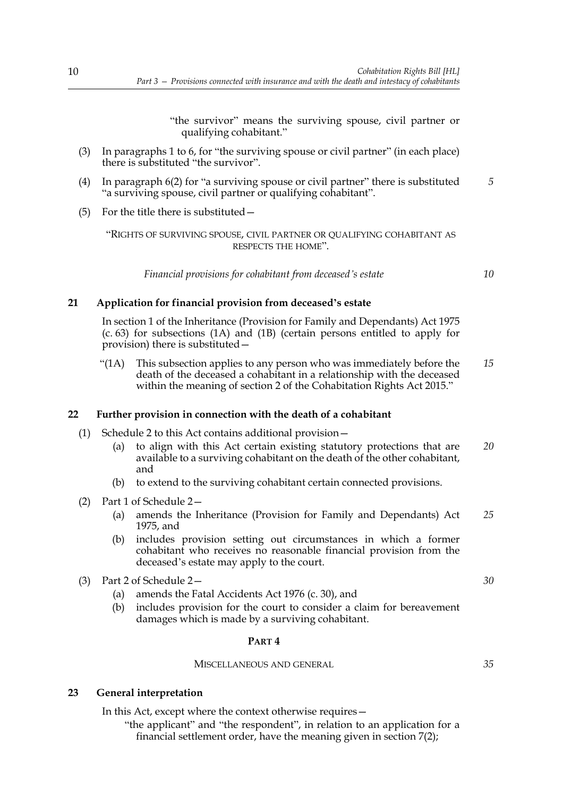"the survivor" means the surviving spouse, civil partner or qualifying cohabitant."

- (3) In paragraphs 1 to 6, for "the surviving spouse or civil partner" (in each place) there is substituted "the survivor".
- (4) In paragraph 6(2) for "a surviving spouse or civil partner" there is substituted "a surviving spouse, civil partner or qualifying cohabitant". *5*
- (5) For the title there is substituted—

"RIGHTS OF SURVIVING SPOUSE, CIVIL PARTNER OR QUALIFYING COHABITANT AS RESPECTS THE HOME".

*Financial provisions for cohabitant from deceased's estate*

*10*

#### **21 Application for financial provision from deceased's estate**

In section 1 of the Inheritance (Provision for Family and Dependants) Act 1975 (c. 63) for subsections (1A) and (1B) (certain persons entitled to apply for provision) there is substituted—

"(1A) This subsection applies to any person who was immediately before the death of the deceased a cohabitant in a relationship with the deceased within the meaning of section 2 of the Cohabitation Rights Act 2015." *15*

#### **22 Further provision in connection with the death of a cohabitant**

- (1) Schedule 2 to this Act contains additional provision—
	- (a) to align with this Act certain existing statutory protections that are available to a surviving cohabitant on the death of the other cohabitant, and *20*
	- (b) to extend to the surviving cohabitant certain connected provisions.
- (2) Part 1 of Schedule 2—
	- (a) amends the Inheritance (Provision for Family and Dependants) Act 1975, and *25*
	- (b) includes provision setting out circumstances in which a former cohabitant who receives no reasonable financial provision from the deceased's estate may apply to the court.
- (3) Part 2 of Schedule 2—
	- (a) amends the Fatal Accidents Act 1976 (c. 30), and
	- (b) includes provision for the court to consider a claim for bereavement damages which is made by a surviving cohabitant.

#### **PART 4**

#### MISCELLANEOUS AND GENERAL

*35*

*30*

#### **23 General interpretation**

In this Act, except where the context otherwise requires—

"the applicant" and "the respondent", in relation to an application for a financial settlement order, have the meaning given in section 7(2);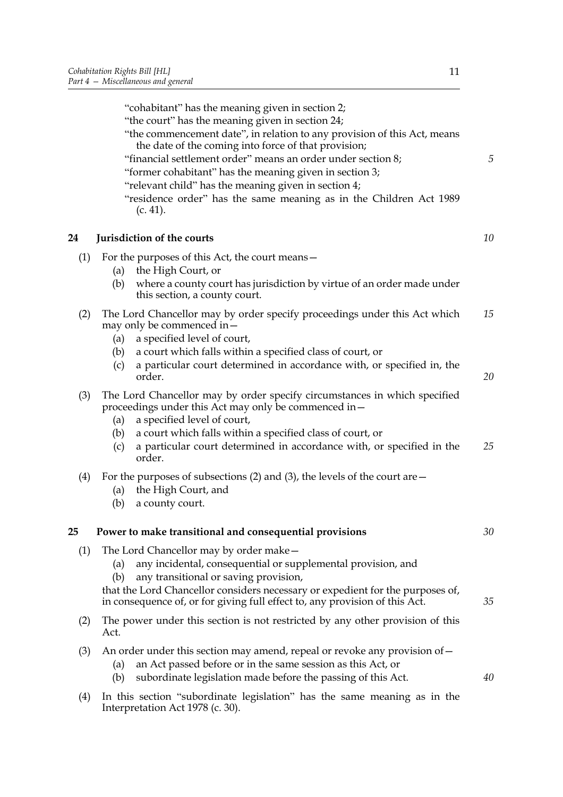|     | "cohabitant" has the meaning given in section 2;<br>"the court" has the meaning given in section 24;<br>"the commencement date", in relation to any provision of this Act, means<br>the date of the coming into force of that provision;<br>"financial settlement order" means an order under section 8;<br>"former cohabitant" has the meaning given in section 3;<br>"relevant child" has the meaning given in section 4;<br>"residence order" has the same meaning as in the Children Act 1989<br>(c. 41). | 5        |
|-----|---------------------------------------------------------------------------------------------------------------------------------------------------------------------------------------------------------------------------------------------------------------------------------------------------------------------------------------------------------------------------------------------------------------------------------------------------------------------------------------------------------------|----------|
| 24  | Jurisdiction of the courts                                                                                                                                                                                                                                                                                                                                                                                                                                                                                    | 10       |
| (1) | For the purposes of this Act, the court means -<br>the High Court, or<br>(a)<br>where a county court has jurisdiction by virtue of an order made under<br>(b)<br>this section, a county court.                                                                                                                                                                                                                                                                                                                |          |
| (2) | The Lord Chancellor may by order specify proceedings under this Act which<br>may only be commenced in -<br>a specified level of court,<br>(a)<br>a court which falls within a specified class of court, or<br>(b)<br>a particular court determined in accordance with, or specified in, the<br>(c)<br>order.                                                                                                                                                                                                  | 15<br>20 |
| (3) | The Lord Chancellor may by order specify circumstances in which specified<br>proceedings under this Act may only be commenced in -<br>a specified level of court,<br>(a)<br>a court which falls within a specified class of court, or<br>(b)<br>a particular court determined in accordance with, or specified in the<br>(c)<br>order.                                                                                                                                                                        | 25       |
| (4) | For the purposes of subsections (2) and (3), the levels of the court are $-$<br>the High Court, and<br>(a)<br>a county court.<br>(b)                                                                                                                                                                                                                                                                                                                                                                          |          |
| 25  | Power to make transitional and consequential provisions                                                                                                                                                                                                                                                                                                                                                                                                                                                       | 30       |
| (1) | The Lord Chancellor may by order make -<br>any incidental, consequential or supplemental provision, and<br>(a)<br>any transitional or saving provision,<br>(b)<br>that the Lord Chancellor considers necessary or expedient for the purposes of,<br>in consequence of, or for giving full effect to, any provision of this Act.                                                                                                                                                                               | 35       |
| (2) | The power under this section is not restricted by any other provision of this<br>Act.                                                                                                                                                                                                                                                                                                                                                                                                                         |          |
| (3) | An order under this section may amend, repeal or revoke any provision of $-$<br>an Act passed before or in the same session as this Act, or<br>(a)<br>subordinate legislation made before the passing of this Act.<br>(b)                                                                                                                                                                                                                                                                                     | 40       |

(4) In this section "subordinate legislation" has the same meaning as in the Interpretation Act 1978 (c. 30).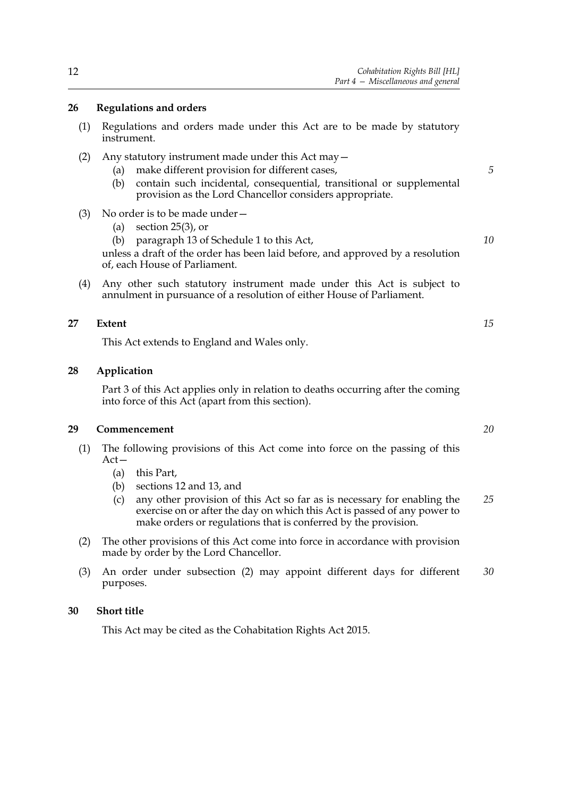#### **26 Regulations and orders**

- (1) Regulations and orders made under this Act are to be made by statutory instrument.
- (2) Any statutory instrument made under this Act may—
	- (a) make different provision for different cases,
	- (b) contain such incidental, consequential, transitional or supplemental provision as the Lord Chancellor considers appropriate.

#### (3) No order is to be made under—

- (a) section 25(3), or
- (b) paragraph 13 of Schedule 1 to this Act,

unless a draft of the order has been laid before, and approved by a resolution of, each House of Parliament.

(4) Any other such statutory instrument made under this Act is subject to annulment in pursuance of a resolution of either House of Parliament.

#### **27 Extent**

This Act extends to England and Wales only.

#### **28 Application**

Part 3 of this Act applies only in relation to deaths occurring after the coming into force of this Act (apart from this section).

#### **29 Commencement**

- (1) The following provisions of this Act come into force on the passing of this Act—
	- (a) this Part,
	- (b) sections 12 and 13, and
	- (c) any other provision of this Act so far as is necessary for enabling the exercise on or after the day on which this Act is passed of any power to make orders or regulations that is conferred by the provision. *25*
- (2) The other provisions of this Act come into force in accordance with provision made by order by the Lord Chancellor.
- (3) An order under subsection (2) may appoint different days for different purposes. *30*

#### **30 Short title**

This Act may be cited as the Cohabitation Rights Act 2015.

*15*

*20*

*10*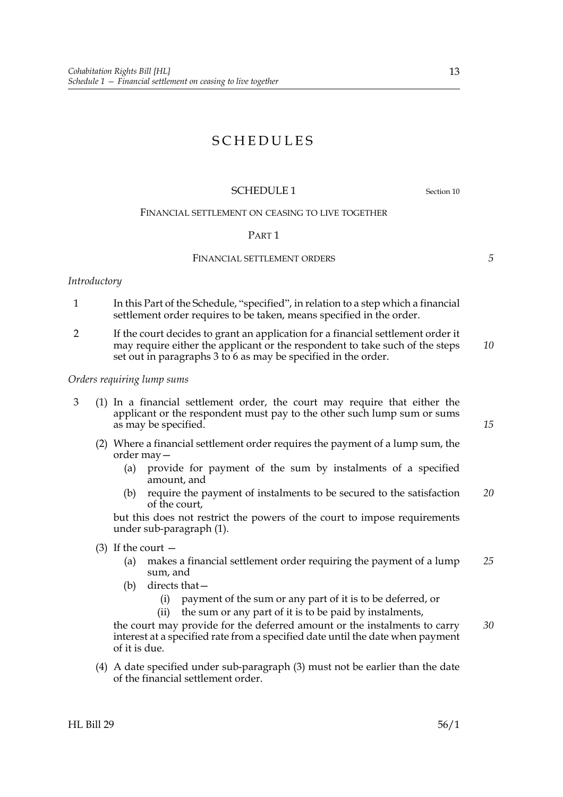### SCHEDULES

#### SCHEDULE 1 Section 10

#### FINANCIAL SETTLEMENT ON CEASING TO LIVE TOGETHER

#### PART 1

#### FINANCIAL SETTLEMENT ORDERS

*Introductory*

- 1 In this Part of the Schedule, "specified", in relation to a step which a financial settlement order requires to be taken, means specified in the order.
- 2 If the court decides to grant an application for a financial settlement order it may require either the applicant or the respondent to take such of the steps set out in paragraphs 3 to 6 as may be specified in the order. *10*

#### *Orders requiring lump sums*

- 3 (1) In a financial settlement order, the court may require that either the applicant or the respondent must pay to the other such lump sum or sums as may be specified.
	- (2) Where a financial settlement order requires the payment of a lump sum, the order may—
		- (a) provide for payment of the sum by instalments of a specified amount, and
		- (b) require the payment of instalments to be secured to the satisfaction of the court, *20*

but this does not restrict the powers of the court to impose requirements under sub-paragraph (1).

- (3) If the court  $-$ 
	- (a) makes a financial settlement order requiring the payment of a lump sum, and *25*
	- (b) directs that—
		- (i) payment of the sum or any part of it is to be deferred, or

(ii) the sum or any part of it is to be paid by instalments,

the court may provide for the deferred amount or the instalments to carry interest at a specified rate from a specified date until the date when payment of it is due. *30*

(4) A date specified under sub-paragraph (3) must not be earlier than the date of the financial settlement order.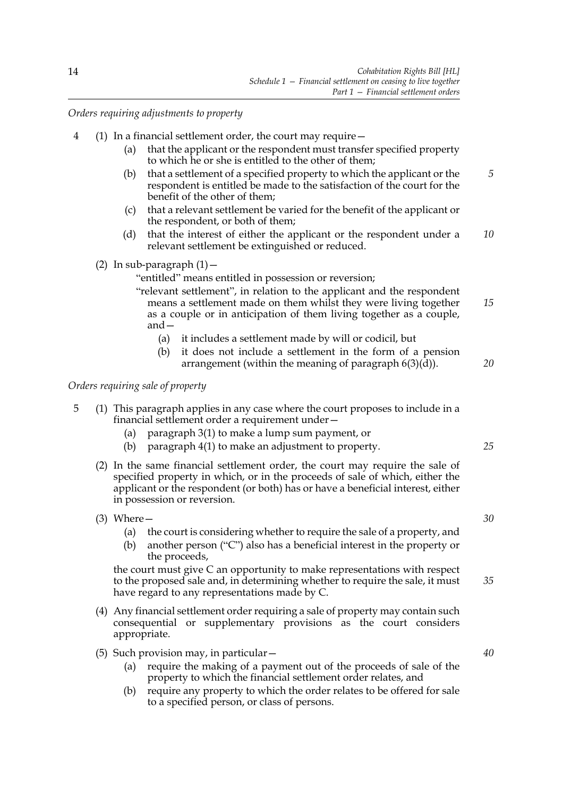*Orders requiring adjustments to property*

- 4 (1) In a financial settlement order, the court may require—
	- (a) that the applicant or the respondent must transfer specified property to which he or she is entitled to the other of them;
	- (b) that a settlement of a specified property to which the applicant or the respondent is entitled be made to the satisfaction of the court for the benefit of the other of them; *5*
	- (c) that a relevant settlement be varied for the benefit of the applicant or the respondent, or both of them;
	- (d) that the interest of either the applicant or the respondent under a relevant settlement be extinguished or reduced. *10*
	- (2) In sub-paragraph  $(1)$  -

"entitled" means entitled in possession or reversion;

- "relevant settlement", in relation to the applicant and the respondent means a settlement made on them whilst they were living together as a couple or in anticipation of them living together as a couple, and— *15*
	- (a) it includes a settlement made by will or codicil, but
	- (b) it does not include a settlement in the form of a pension arrangement (within the meaning of paragraph  $6(3)(d)$ ).

*Orders requiring sale of property*

- 5 (1) This paragraph applies in any case where the court proposes to include in a financial settlement order a requirement under—
	- (a) paragraph 3(1) to make a lump sum payment, or
	- (b) paragraph 4(1) to make an adjustment to property.
	- (2) In the same financial settlement order, the court may require the sale of specified property in which, or in the proceeds of sale of which, either the applicant or the respondent (or both) has or have a beneficial interest, either in possession or reversion.
	- (3) Where—
		- (a) the court is considering whether to require the sale of a property, and
		- (b) another person ("C") also has a beneficial interest in the property or the proceeds,

the court must give C an opportunity to make representations with respect to the proposed sale and, in determining whether to require the sale, it must have regard to any representations made by C.

- (4) Any financial settlement order requiring a sale of property may contain such consequential or supplementary provisions as the court considers appropriate.
- (5) Such provision may, in particular—
	- (a) require the making of a payment out of the proceeds of sale of the property to which the financial settlement order relates, and
	- (b) require any property to which the order relates to be offered for sale to a specified person, or class of persons.

14

*30*

*25*

*20*

*40*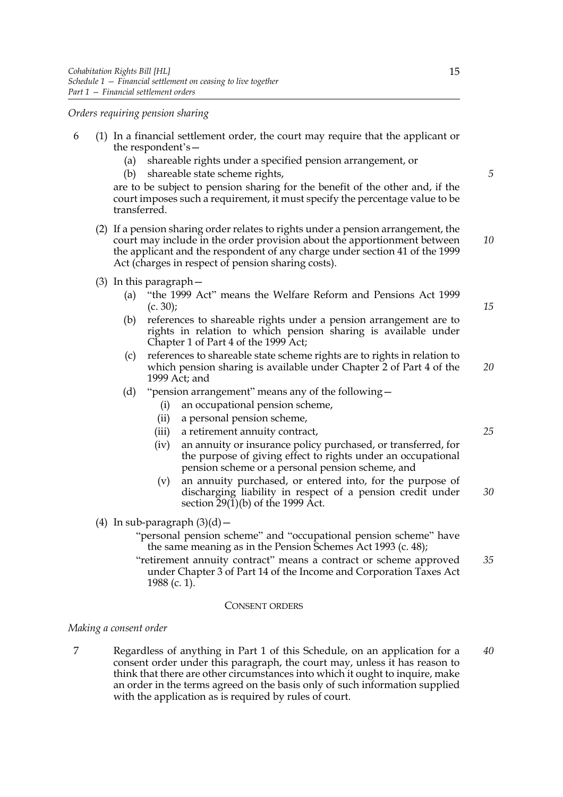*Orders requiring pension sharing*

- 6 (1) In a financial settlement order, the court may require that the applicant or the respondent's—
	- (a) shareable rights under a specified pension arrangement, or
	- (b) shareable state scheme rights,

are to be subject to pension sharing for the benefit of the other and, if the court imposes such a requirement, it must specify the percentage value to be transferred.

- (2) If a pension sharing order relates to rights under a pension arrangement, the court may include in the order provision about the apportionment between the applicant and the respondent of any charge under section 41 of the 1999 Act (charges in respect of pension sharing costs).
- (3) In this paragraph—
	- (a) "the 1999 Act" means the Welfare Reform and Pensions Act 1999  $(c. 30);$
	- (b) references to shareable rights under a pension arrangement are to rights in relation to which pension sharing is available under Chapter 1 of Part 4 of the 1999 Act;
	- (c) references to shareable state scheme rights are to rights in relation to which pension sharing is available under Chapter 2 of Part 4 of the 1999 Act; and *20*
	- (d) "pension arrangement" means any of the following—
		- (i) an occupational pension scheme,
		- (ii) a personal pension scheme,
		- (iii) a retirement annuity contract,
		- (iv) an annuity or insurance policy purchased, or transferred, for the purpose of giving effect to rights under an occupational pension scheme or a personal pension scheme, and
		- (v) an annuity purchased, or entered into, for the purpose of discharging liability in respect of a pension credit under section  $29(1)(b)$  of the 1999 Act. *30*
- (4) In sub-paragraph  $(3)(d)$  -
	- "personal pension scheme" and "occupational pension scheme" have the same meaning as in the Pension Schemes Act 1993 (c. 48);
	- "retirement annuity contract" means a contract or scheme approved under Chapter 3 of Part 14 of the Income and Corporation Taxes Act 1988 (c. 1). *35*

#### CONSENT ORDERS

#### *Making a consent order*

7 Regardless of anything in Part 1 of this Schedule, on an application for a consent order under this paragraph, the court may, unless it has reason to think that there are other circumstances into which it ought to inquire, make an order in the terms agreed on the basis only of such information supplied with the application as is required by rules of court. *40*

*15*

*25*

*10*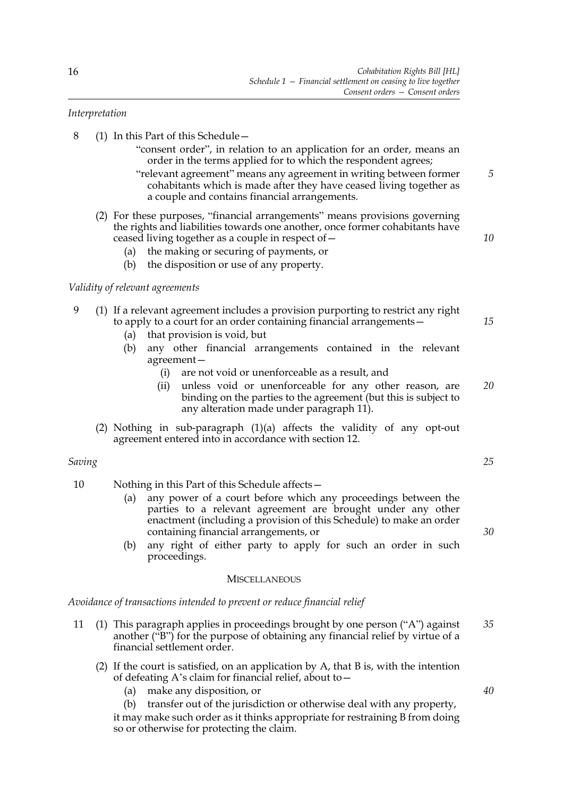#### *Interpretation*

- 8 (1) In this Part of this Schedule—
	- "consent order", in relation to an application for an order, means an order in the terms applied for to which the respondent agrees;
	- "relevant agreement" means any agreement in writing between former cohabitants which is made after they have ceased living together as a couple and contains financial arrangements. *5*
	- (2) For these purposes, "financial arrangements" means provisions governing the rights and liabilities towards one another, once former cohabitants have ceased living together as a couple in respect of—
		- (a) the making or securing of payments, or
		- (b) the disposition or use of any property.

#### *Validity of relevant agreements*

#### 9 (1) If a relevant agreement includes a provision purporting to restrict any right to apply to a court for an order containing financial arrangements—

- (a) that provision is void, but
- (b) any other financial arrangements contained in the relevant agreement—
	- (i) are not void or unenforceable as a result, and
	- (ii) unless void or unenforceable for any other reason, are binding on the parties to the agreement (but this is subject to any alteration made under paragraph 11). *20*
- (2) Nothing in sub-paragraph (1)(a) affects the validity of any opt-out agreement entered into in accordance with section 12.

#### *Saving*

- 10 Nothing in this Part of this Schedule affects—
	- (a) any power of a court before which any proceedings between the parties to a relevant agreement are brought under any other enactment (including a provision of this Schedule) to make an order containing financial arrangements, or
	- (b) any right of either party to apply for such an order in such proceedings.

#### **MISCELLANEOUS**

*Avoidance of transactions intended to prevent or reduce financial relief*

- 11 (1) This paragraph applies in proceedings brought by one person ("A") against another ("B") for the purpose of obtaining any financial relief by virtue of a financial settlement order. *35*
	- (2) If the court is satisfied, on an application by A, that B is, with the intention of defeating A's claim for financial relief, about to—
		- (a) make any disposition, or

(b) transfer out of the jurisdiction or otherwise deal with any property, it may make such order as it thinks appropriate for restraining B from doing so or otherwise for protecting the claim.

*25*

*10*

*15*

*30*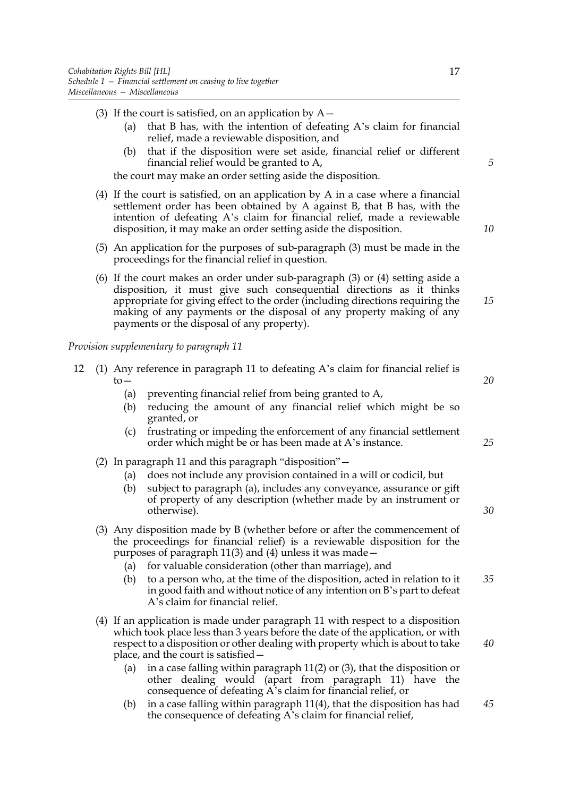- (3) If the court is satisfied, on an application by  $A-$ 
	- (a) that B has, with the intention of defeating A's claim for financial relief, made a reviewable disposition, and
	- (b) that if the disposition were set aside, financial relief or different financial relief would be granted to A,

the court may make an order setting aside the disposition.

- (4) If the court is satisfied, on an application by A in a case where a financial settlement order has been obtained by A against B, that B has, with the intention of defeating A's claim for financial relief, made a reviewable disposition, it may make an order setting aside the disposition.
- (5) An application for the purposes of sub-paragraph (3) must be made in the proceedings for the financial relief in question.
- (6) If the court makes an order under sub-paragraph (3) or (4) setting aside a disposition, it must give such consequential directions as it thinks appropriate for giving effect to the order (including directions requiring the making of any payments or the disposal of any property making of any payments or the disposal of any property). *15*

*Provision supplementary to paragraph 11*

- 12 (1) Any reference in paragraph 11 to defeating A's claim for financial relief is  $t_0$ — (a) preventing financial relief from being granted to A, *20*
	- (b) reducing the amount of any financial relief which might be so granted, or
	- (c) frustrating or impeding the enforcement of any financial settlement order which might be or has been made at A's instance.
	- (2) In paragraph 11 and this paragraph "disposition"—
		- (a) does not include any provision contained in a will or codicil, but
		- (b) subject to paragraph (a), includes any conveyance, assurance or gift of property of any description (whether made by an instrument or otherwise).
	- (3) Any disposition made by B (whether before or after the commencement of the proceedings for financial relief) is a reviewable disposition for the purposes of paragraph 11(3) and (4) unless it was made—
		- (a) for valuable consideration (other than marriage), and
		- (b) to a person who, at the time of the disposition, acted in relation to it in good faith and without notice of any intention on B's part to defeat A's claim for financial relief. *35*
	- (4) If an application is made under paragraph 11 with respect to a disposition which took place less than 3 years before the date of the application, or with respect to a disposition or other dealing with property which is about to take place, and the court is satisfied—
		- (a) in a case falling within paragraph 11(2) or (3), that the disposition or other dealing would (apart from paragraph 11) have the consequence of defeating A's claim for financial relief, or
		- (b) in a case falling within paragraph 11(4), that the disposition has had the consequence of defeating A's claim for financial relief, *45*

*5*

*10*

*25*

*30*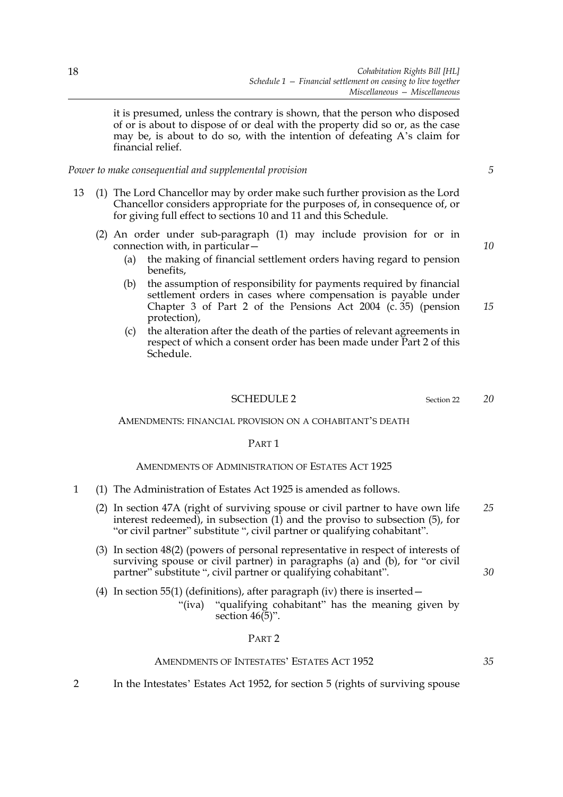it is presumed, unless the contrary is shown, that the person who disposed of or is about to dispose of or deal with the property did so or, as the case may be, is about to do so, with the intention of defeating A's claim for financial relief.

*Power to make consequential and supplemental provision*

- 13 (1) The Lord Chancellor may by order make such further provision as the Lord Chancellor considers appropriate for the purposes of, in consequence of, or for giving full effect to sections 10 and 11 and this Schedule.
	- (2) An order under sub-paragraph (1) may include provision for or in connection with, in particular—
		- (a) the making of financial settlement orders having regard to pension benefits,
		- (b) the assumption of responsibility for payments required by financial settlement orders in cases where compensation is payable under Chapter 3 of Part 2 of the Pensions Act 2004 (c. 35) (pension protection),
		- (c) the alteration after the death of the parties of relevant agreements in respect of which a consent order has been made under Part 2 of this Schedule.

#### SCHEDULE 2 Section 22

#### AMENDMENTS: FINANCIAL PROVISION ON A COHABITANT'S DEATH

#### PART 1

#### AMENDMENTS OF ADMINISTRATION OF ESTATES ACT 1925

- 1 (1) The Administration of Estates Act 1925 is amended as follows.
	- (2) In section 47A (right of surviving spouse or civil partner to have own life interest redeemed), in subsection (1) and the proviso to subsection (5), for "or civil partner" substitute ", civil partner or qualifying cohabitant". *25*
	- (3) In section 48(2) (powers of personal representative in respect of interests of surviving spouse or civil partner) in paragraphs (a) and (b), for "or civil partner" substitute ", civil partner or qualifying cohabitant".

(4) In section 55(1) (definitions), after paragraph (iv) there is inserted  $-$ 

"(iva) "qualifying cohabitant" has the meaning given by section  $46(5)$ ".

#### PART 2

#### AMENDMENTS OF INTESTATES' ESTATES ACT 1952

2 In the Intestates' Estates Act 1952, for section 5 (rights of surviving spouse

*10*

*5*

*20*

*15*

*30*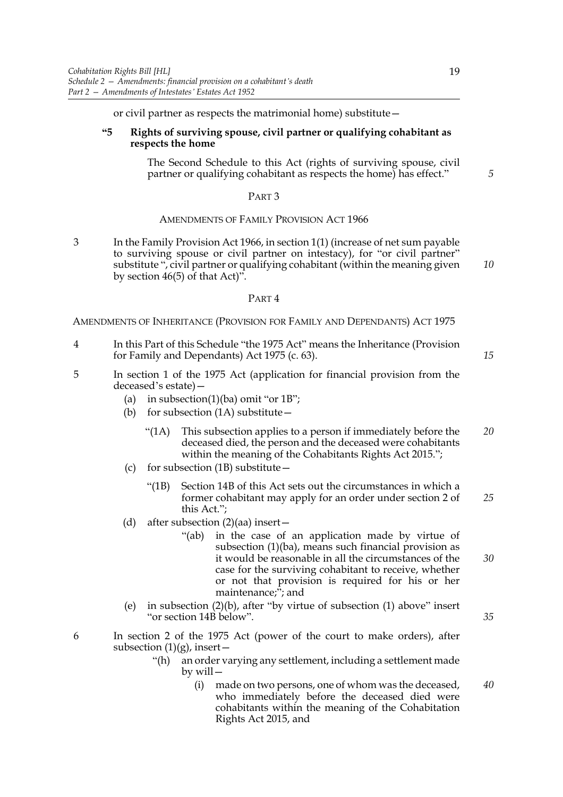or civil partner as respects the matrimonial home) substitute—

#### **"5 Rights of surviving spouse, civil partner or qualifying cohabitant as respects the home**

The Second Schedule to this Act (rights of surviving spouse, civil partner or qualifying cohabitant as respects the home) has effect."

#### PART 3

#### AMENDMENTS OF FAMILY PROVISION ACT 1966

3 In the Family Provision Act 1966, in section 1(1) (increase of net sum payable to surviving spouse or civil partner on intestacy), for "or civil partner" substitute ", civil partner or qualifying cohabitant (within the meaning given by section 46(5) of that Act)". *10*

#### PART 4

AMENDMENTS OF INHERITANCE (PROVISION FOR FAMILY AND DEPENDANTS) ACT 1975

- 4 In this Part of this Schedule "the 1975 Act" means the Inheritance (Provision for Family and Dependants) Act 1975 (c. 63).
- 5 In section 1 of the 1975 Act (application for financial provision from the deceased's estate)—
	- (a) in subsection(1)(ba) omit "or  $1B$ ";
	- (b) for subsection (1A) substitute—
		- "(1A) This subsection applies to a person if immediately before the deceased died, the person and the deceased were cohabitants within the meaning of the Cohabitants Rights Act 2015."; *20*
	- (c) for subsection (1B) substitute—
		- "(1B) Section 14B of this Act sets out the circumstances in which a former cohabitant may apply for an order under section 2 of this Act."; *25*
	- (d) after subsection  $(2)(aa)$  insert
		- "(ab) in the case of an application made by virtue of subsection (1)(ba), means such financial provision as it would be reasonable in all the circumstances of the case for the surviving cohabitant to receive, whether or not that provision is required for his or her maintenance;"; and
	- (e) in subsection (2)(b), after "by virtue of subsection (1) above" insert "or section 14B below".
- 6 In section 2 of the 1975 Act (power of the court to make orders), after subsection  $(1)(g)$ , insert –
	- "(h) an order varying any settlement, including a settlement made by will—
		- (i) made on two persons, one of whom was the deceased, who immediately before the deceased died were cohabitants within the meaning of the Cohabitation Rights Act 2015, and *40*

*5*

*15*

*35*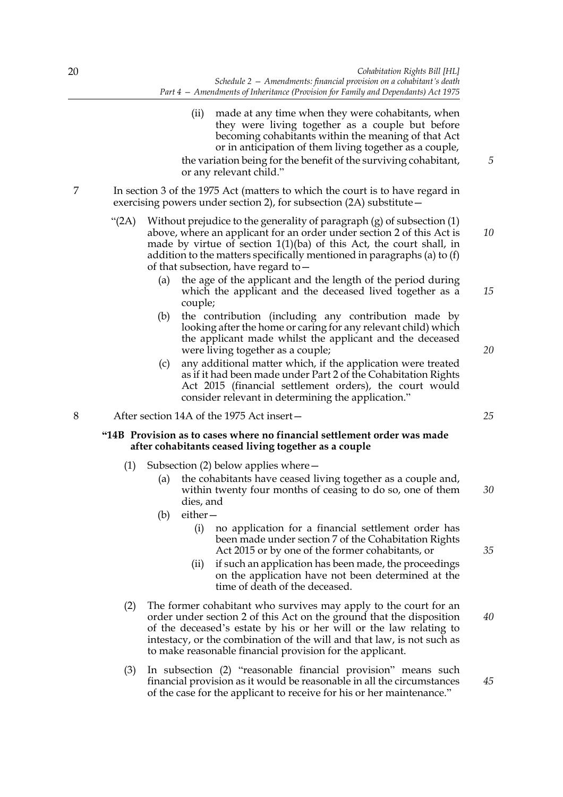- (ii) made at any time when they were cohabitants, when they were living together as a couple but before becoming cohabitants within the meaning of that Act or in anticipation of them living together as a couple, the variation being for the benefit of the surviving cohabitant, or any relevant child." 7 In section 3 of the 1975 Act (matters to which the court is to have regard in exercising powers under section 2), for subsection (2A) substitute— "(2A) Without prejudice to the generality of paragraph (g) of subsection (1)
	- above, where an applicant for an order under section 2 of this Act is made by virtue of section 1(1)(ba) of this Act, the court shall, in addition to the matters specifically mentioned in paragraphs (a) to (f) of that subsection, have regard to— *10*
		- (a) the age of the applicant and the length of the period during which the applicant and the deceased lived together as a couple;
		- (b) the contribution (including any contribution made by looking after the home or caring for any relevant child) which the applicant made whilst the applicant and the deceased were living together as a couple;
		- (c) any additional matter which, if the application were treated as if it had been made under Part 2 of the Cohabitation Rights Act 2015 (financial settlement orders), the court would consider relevant in determining the application."

#### 8 After section 14A of the 1975 Act insert—

#### **"14B Provision as to cases where no financial settlement order was made after cohabitants ceased living together as a couple**

- (1) Subsection (2) below applies where—
	- (a) the cohabitants have ceased living together as a couple and, within twenty four months of ceasing to do so, one of them dies, and *30*
	- (b) either—
		- (i) no application for a financial settlement order has been made under section 7 of the Cohabitation Rights Act 2015 or by one of the former cohabitants, or
		- (ii) if such an application has been made, the proceedings on the application have not been determined at the time of death of the deceased.
- (2) The former cohabitant who survives may apply to the court for an order under section 2 of this Act on the ground that the disposition of the deceased's estate by his or her will or the law relating to intestacy, or the combination of the will and that law, is not such as to make reasonable financial provision for the applicant. *40*
- (3) In subsection (2) "reasonable financial provision" means such financial provision as it would be reasonable in all the circumstances of the case for the applicant to receive for his or her maintenance."

*25*

*15*

*20*

*5*

*45*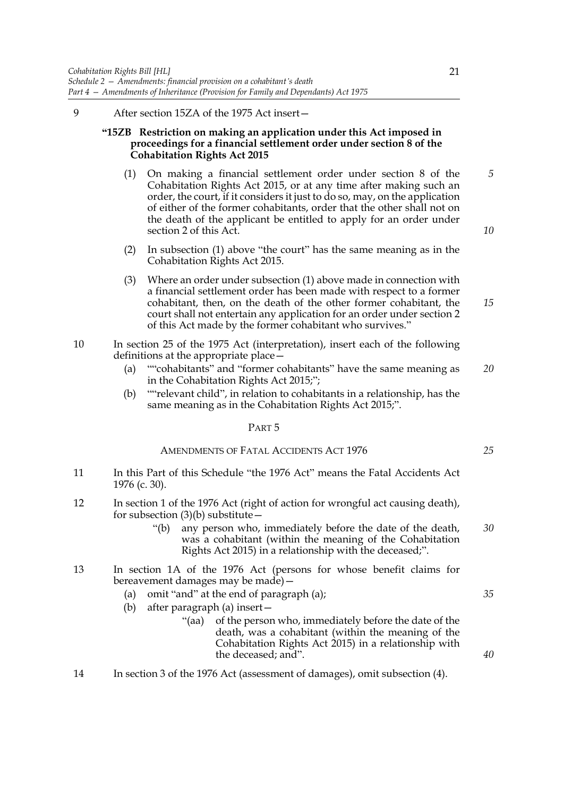9 After section 15ZA of the 1975 Act insert—

#### **"15ZB Restriction on making an application under this Act imposed in proceedings for a financial settlement order under section 8 of the Cohabitation Rights Act 2015**

- (1) On making a financial settlement order under section 8 of the Cohabitation Rights Act 2015, or at any time after making such an order, the court, if it considers it just to do so, may, on the application of either of the former cohabitants, order that the other shall not on the death of the applicant be entitled to apply for an order under section 2 of this Act.
- (2) In subsection (1) above "the court" has the same meaning as in the Cohabitation Rights Act 2015.
- (3) Where an order under subsection (1) above made in connection with a financial settlement order has been made with respect to a former cohabitant, then, on the death of the other former cohabitant, the court shall not entertain any application for an order under section 2 of this Act made by the former cohabitant who survives."
- 10 In section 25 of the 1975 Act (interpretation), insert each of the following definitions at the appropriate place—
	- (a) ""cohabitants" and "former cohabitants" have the same meaning as in the Cohabitation Rights Act 2015;"; *20*
	- (b) ""relevant child", in relation to cohabitants in a relationship, has the same meaning as in the Cohabitation Rights Act 2015;".

PART 5

#### AMENDMENTS OF FATAL ACCIDENTS ACT 1976

- 11 In this Part of this Schedule "the 1976 Act" means the Fatal Accidents Act 1976 (c. 30).
- 12 In section 1 of the 1976 Act (right of action for wrongful act causing death), for subsection  $(3)(b)$  substitute  $-$ 
	- "(b) any person who, immediately before the date of the death, was a cohabitant (within the meaning of the Cohabitation Rights Act 2015) in a relationship with the deceased;". *30*
- 13 In section 1A of the 1976 Act (persons for whose benefit claims for bereavement damages may be made)—
	- (a) omit "and" at the end of paragraph (a);
	- (b) after paragraph (a) insert—
		- "(aa) of the person who, immediately before the date of the death, was a cohabitant (within the meaning of the Cohabitation Rights Act 2015) in a relationship with the deceased; and".
- 14 In section 3 of the 1976 Act (assessment of damages), omit subsection (4).

*5*

*10*

*15*

*25*

*35*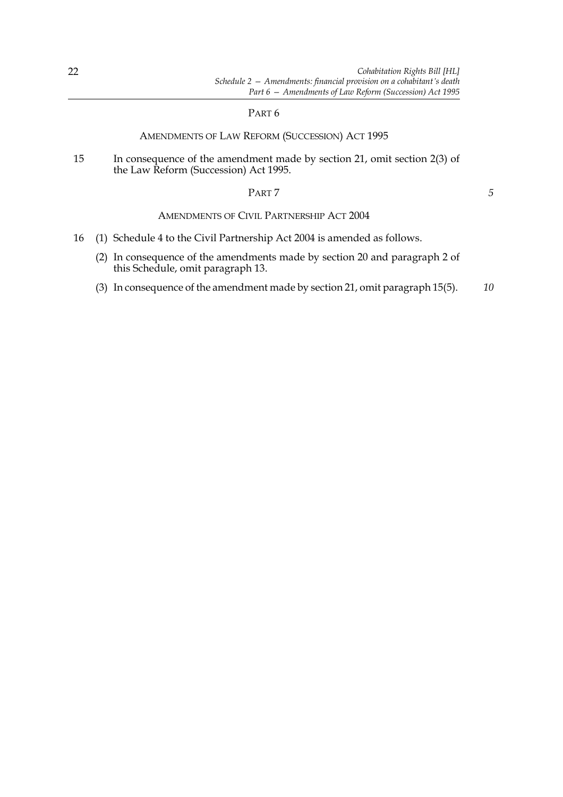#### PART 6

#### AMENDMENTS OF LAW REFORM (SUCCESSION) ACT 1995

15 In consequence of the amendment made by section 21, omit section 2(3) of the Law Reform (Succession) Act 1995.

PART 7

*5*

#### AMENDMENTS OF CIVIL PARTNERSHIP ACT 2004

- 16 (1) Schedule 4 to the Civil Partnership Act 2004 is amended as follows.
	- (2) In consequence of the amendments made by section 20 and paragraph 2 of this Schedule, omit paragraph 13.
	- (3) In consequence of the amendment made by section 21, omit paragraph 15(5). *10*